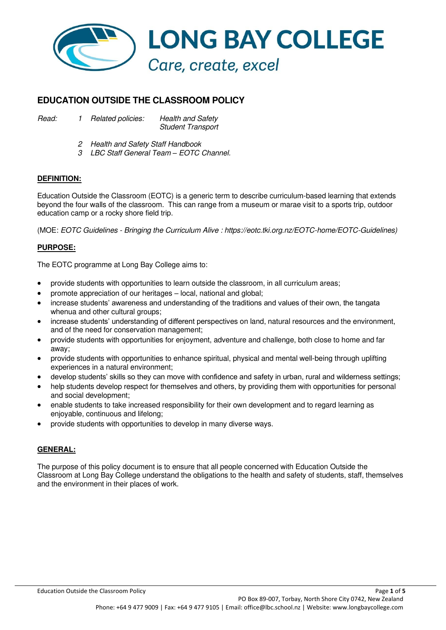

# **EDUCATION OUTSIDE THE CLASSROOM POLICY**

*Read: 1 Related policies: Health and Safety Student Transport* 

- *2 Health and Safety Staff Handbook*
- *3 LBC Staff General Team – EOTC Channel.*

# **DEFINITION:**

Education Outside the Classroom (EOTC) is a generic term to describe curriculum-based learning that extends beyond the four walls of the classroom. This can range from a museum or marae visit to a sports trip, outdoor education camp or a rocky shore field trip.

(MOE: *EOTC Guidelines - Bringing the Curriculum Alive : https://eotc.tki.org.nz/EOTC-home/EOTC-Guidelines)*

# **PURPOSE:**

The EOTC programme at Long Bay College aims to:

- provide students with opportunities to learn outside the classroom, in all curriculum areas;
- promote appreciation of our heritages local, national and global;
- increase students' awareness and understanding of the traditions and values of their own, the tangata whenua and other cultural groups;
- increase students' understanding of different perspectives on land, natural resources and the environment, and of the need for conservation management;
- provide students with opportunities for enjoyment, adventure and challenge, both close to home and far away;
- provide students with opportunities to enhance spiritual, physical and mental well-being through uplifting experiences in a natural environment;
- develop students' skills so they can move with confidence and safety in urban, rural and wilderness settings;
- help students develop respect for themselves and others, by providing them with opportunities for personal and social development;
- enable students to take increased responsibility for their own development and to regard learning as enjoyable, continuous and lifelong;
- provide students with opportunities to develop in many diverse ways.

# **GENERAL:**

The purpose of this policy document is to ensure that all people concerned with Education Outside the Classroom at Long Bay College understand the obligations to the health and safety of students, staff, themselves and the environment in their places of work.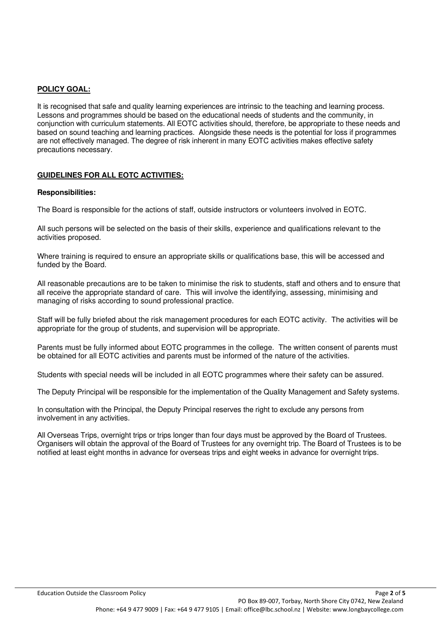### **POLICY GOAL:**

It is recognised that safe and quality learning experiences are intrinsic to the teaching and learning process. Lessons and programmes should be based on the educational needs of students and the community, in conjunction with curriculum statements. All EOTC activities should, therefore, be appropriate to these needs and based on sound teaching and learning practices. Alongside these needs is the potential for loss if programmes are not effectively managed. The degree of risk inherent in many EOTC activities makes effective safety precautions necessary.

# **GUIDELINES FOR ALL EOTC ACTIVITIES:**

#### **Responsibilities:**

The Board is responsible for the actions of staff, outside instructors or volunteers involved in EOTC.

All such persons will be selected on the basis of their skills, experience and qualifications relevant to the activities proposed.

Where training is required to ensure an appropriate skills or qualifications base, this will be accessed and funded by the Board.

All reasonable precautions are to be taken to minimise the risk to students, staff and others and to ensure that all receive the appropriate standard of care. This will involve the identifying, assessing, minimising and managing of risks according to sound professional practice.

Staff will be fully briefed about the risk management procedures for each EOTC activity. The activities will be appropriate for the group of students, and supervision will be appropriate.

Parents must be fully informed about EOTC programmes in the college. The written consent of parents must be obtained for all EOTC activities and parents must be informed of the nature of the activities.

Students with special needs will be included in all EOTC programmes where their safety can be assured.

The Deputy Principal will be responsible for the implementation of the Quality Management and Safety systems.

In consultation with the Principal, the Deputy Principal reserves the right to exclude any persons from involvement in any activities.

All Overseas Trips, overnight trips or trips longer than four days must be approved by the Board of Trustees. Organisers will obtain the approval of the Board of Trustees for any overnight trip. The Board of Trustees is to be notified at least eight months in advance for overseas trips and eight weeks in advance for overnight trips.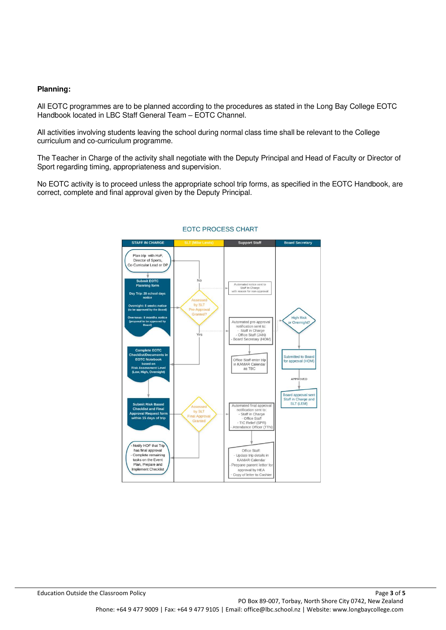#### **Planning:**

All EOTC programmes are to be planned according to the procedures as stated in the Long Bay College EOTC Handbook located in LBC Staff General Team – EOTC Channel.

All activities involving students leaving the school during normal class time shall be relevant to the College curriculum and co-curriculum programme.

The Teacher in Charge of the activity shall negotiate with the Deputy Principal and Head of Faculty or Director of Sport regarding timing, appropriateness and supervision.

No EOTC activity is to proceed unless the appropriate school trip forms, as specified in the EOTC Handbook, are correct, complete and final approval given by the Deputy Principal.



#### **EOTC PROCESS CHART**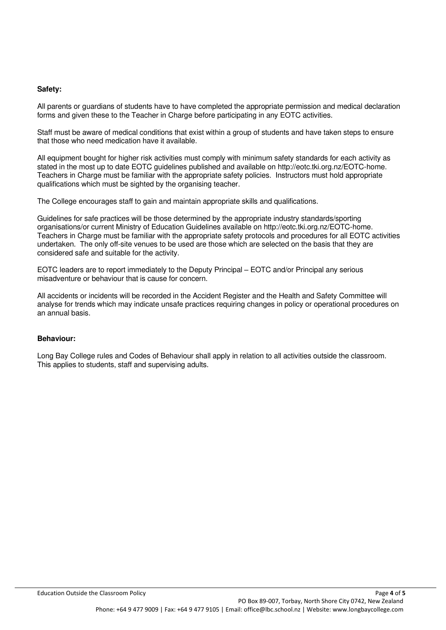#### **Safety:**

All parents or guardians of students have to have completed the appropriate permission and medical declaration forms and given these to the Teacher in Charge before participating in any EOTC activities.

Staff must be aware of medical conditions that exist within a group of students and have taken steps to ensure that those who need medication have it available.

All equipment bought for higher risk activities must comply with minimum safety standards for each activity as stated in the most up to date EOTC guidelines published and available on http://eotc.tki.org.nz/EOTC-home. Teachers in Charge must be familiar with the appropriate safety policies. Instructors must hold appropriate qualifications which must be sighted by the organising teacher.

The College encourages staff to gain and maintain appropriate skills and qualifications.

Guidelines for safe practices will be those determined by the appropriate industry standards/sporting organisations/or current Ministry of Education Guidelines available on http://eotc.tki.org.nz/EOTC-home. Teachers in Charge must be familiar with the appropriate safety protocols and procedures for all EOTC activities undertaken. The only off-site venues to be used are those which are selected on the basis that they are considered safe and suitable for the activity.

EOTC leaders are to report immediately to the Deputy Principal – EOTC and/or Principal any serious misadventure or behaviour that is cause for concern.

All accidents or incidents will be recorded in the Accident Register and the Health and Safety Committee will analyse for trends which may indicate unsafe practices requiring changes in policy or operational procedures on an annual basis.

### **Behaviour:**

Long Bay College rules and Codes of Behaviour shall apply in relation to all activities outside the classroom. This applies to students, staff and supervising adults.